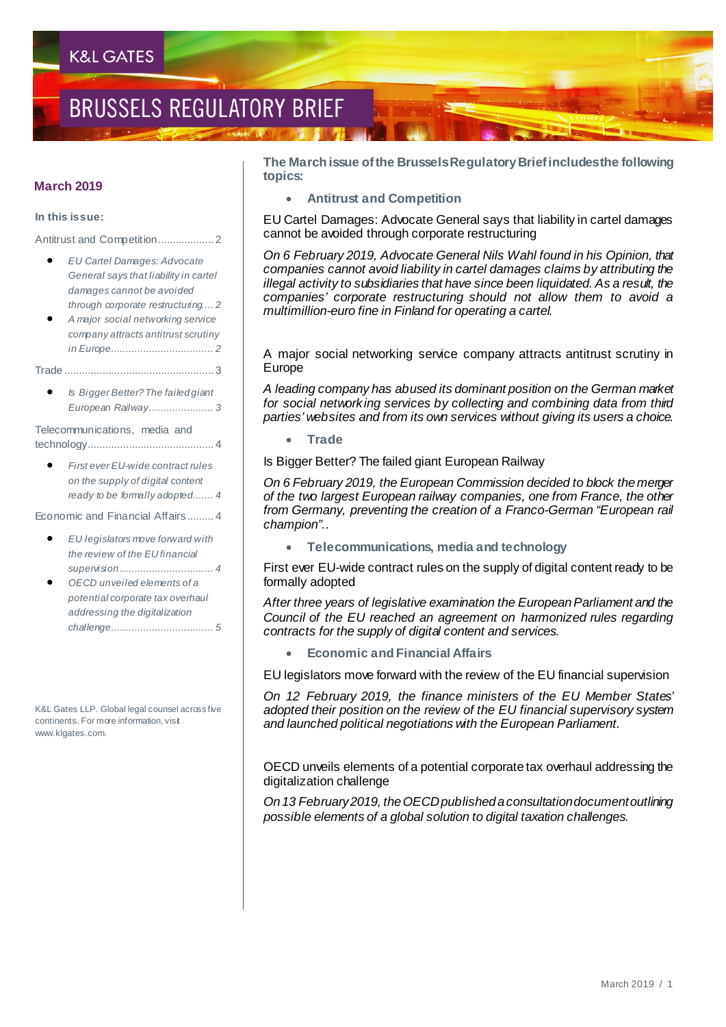## **BRUSSELS REGULATORY BRIEF**

#### **March 2019**

#### **In this issue:**

Antitrust and Competition................... 2

- *EU Cartel Damages: Advocate General says that liability in cartel damages cannot be avoided through corporate restructuring.... 2*
- *A major social networking service company attracts antitrust scrutiny in Europe................................... 2*

Trade ................................................... 3

• *Is Bigger Better? The failed giant European Railway...................... 3*

Telecommunications, media and technology........................................... 4

• *First ever EU-wide contract rules on the supply of digital content ready to be formally adopted....... 4*

Economic and Financial Affairs ......... 4

- *EU legislators move forward with the review of the EU financial supervision ................................ 4*
- *OECD unveiled elements of a potential corporate tax overhaul addressing the digitalization challenge................................... 5*

K&L Gates LLP. Global legal counsel across five continents. For more information, visit www.klgates.com.

**The March issue of the Brussels Regulatory Brief includes the following topics:**

• **Antitrust and Competition**

EU Cartel Damages: Advocate General says that liability in cartel damages cannot be avoided through corporate restructuring

*On 6 February 2019, Advocate General Nils Wahl found in his Opinion, that companies cannot avoid liability in cartel damages claims by attributing the illegal activity to subsidiaries that have since been liquidated. As a result, the companies' corporate restructuring should not allow them to avoid a multimillion-euro fine in Finland for operating a cartel.*

A major social networking service company attracts antitrust scrutiny in Europe

*A leading company has abused its dominant position on the German market for social networking services by collecting and combining data from third parties' websites and from its own services without giving its users a choice.*

• **Trade**

Is Bigger Better? The failed giant European Railway

*On 6 February 2019, the European Commission decided to block the merger of the two largest European railway companies, one from France, the other from Germany, preventing the creation of a Franco-German "European rail champion"..*

• **Telecommunications, media and technology**

First ever EU-wide contract rules on the supply of digital content ready to be formally adopted

*After three years of legislative examination the European Parliament and the Council of the EU reached an agreement on harmonized rules regarding contracts for the supply of digital content and services.*

• **Economic and Financial Affairs**

EU legislators move forward with the review of the EU financial supervision

*On 12 February 2019, the finance ministers of the EU Member States' adopted their position on the review of the EU financial supervisory system and launched political negotiations with the European Parliament.* 

OECD unveils elements of a potential corporate tax overhaul addressing the digitalization challenge

*On 13 February 2019, the OECD published a consultation document outlining possible elements of a global solution to digital taxation challenges.*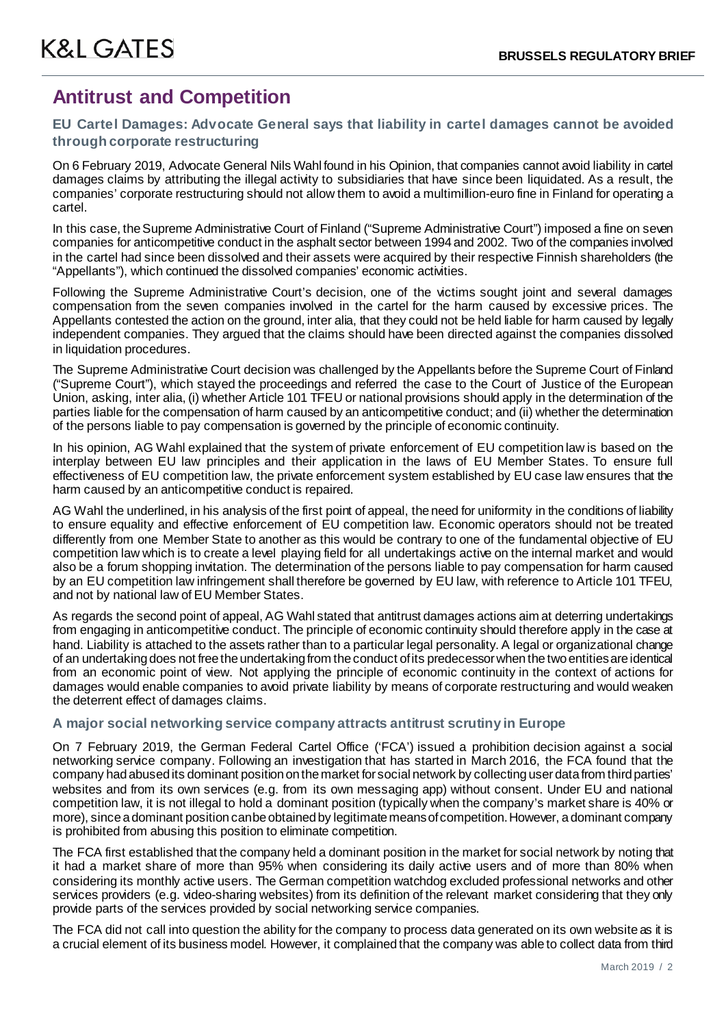### **Antitrust and Competition**

### **EU Cartel Damages: Advocate General says that liability in cartel damages cannot be avoided through corporate restructuring**

On 6 February 2019, Advocate General Nils Wahl found in his Opinion, that companies cannot avoid liability in cartel damages claims by attributing the illegal activity to subsidiaries that have since been liquidated. As a result, the companies' corporate restructuring should not allow them to avoid a multimillion-euro fine in Finland for operating a cartel.

In this case, the Supreme Administrative Court of Finland ("Supreme Administrative Court") imposed a fine on seven companies for anticompetitive conduct in the asphalt sector between 1994 and 2002. Two of the companies involved in the cartel had since been dissolved and their assets were acquired by their respective Finnish shareholders (the "Appellants"), which continued the dissolved companies' economic activities.

Following the Supreme Administrative Court's decision, one of the victims sought joint and several damages compensation from the seven companies involved in the cartel for the harm caused by excessive prices. The Appellants contested the action on the ground, inter alia, that they could not be held liable for harm caused by legally independent companies. They argued that the claims should have been directed against the companies dissolved in liquidation procedures.

The Supreme Administrative Court decision was challenged by the Appellants before the Supreme Court of Finland ("Supreme Court"), which stayed the proceedings and referred the case to the Court of Justice of the European Union, asking, inter alia, (i) whether Article 101 TFEU or national provisions should apply in the determination of the parties liable for the compensation of harm caused by an anticompetitive conduct; and (ii) whether the determination of the persons liable to pay compensation is governed by the principle of economic continuity.

In his opinion, AG Wahl explained that the system of private enforcement of EU competition law is based on the interplay between EU law principles and their application in the laws of EU Member States. To ensure full effectiveness of EU competition law, the private enforcement system established by EU case law ensures that the harm caused by an anticompetitive conduct is repaired.

AG Wahl the underlined, in his analysis of the first point of appeal, the need for uniformity in the conditions of liability to ensure equality and effective enforcement of EU competition law. Economic operators should not be treated differently from one Member State to another as this would be contrary to one of the fundamental objective of EU competition law which is to create a level playing field for all undertakings active on the internal market and would also be a forum shopping invitation. The determination of the persons liable to pay compensation for harm caused by an EU competition law infringement shall therefore be governed by EU law, with reference to Article 101 TFEU, and not by national law of EU Member States.

As regards the second point of appeal, AG Wahl stated that antitrust damages actions aim at deterring undertakings from engaging in anticompetitive conduct. The principle of economic continuity should therefore apply in the case at hand. Liability is attached to the assets rather than to a particular legal personality. A legal or organizational change of an undertaking does not free the undertaking from the conduct of its predecessor when the two entities are identical from an economic point of view. Not applying the principle of economic continuity in the context of actions for damages would enable companies to avoid private liability by means of corporate restructuring and would weaken the deterrent effect of damages claims.

### **A major social networking service company attracts antitrust scrutiny in Europe**

On 7 February 2019, the German Federal Cartel Office ('FCA') issued a prohibition decision against a social networking service company. Following an investigation that has started in March 2016, the FCA found that the company had abused its dominant position on the market for social network by collecting user data from third parties' websites and from its own services (e.g. from its own messaging app) without consent. Under EU and national competition law, it is not illegal to hold a dominant position (typically when the company's market share is 40% or more), since a dominant position can be obtained by legitimate means of competition. However, a dominant company is prohibited from abusing this position to eliminate competition.

The FCA first established that the company held a dominant position in the market for social network by noting that it had a market share of more than 95% when considering its daily active users and of more than 80% when considering its monthly active users. The German competition watchdog excluded professional networks and other services providers (e.g. video-sharing websites) from its definition of the relevant market considering that they only provide parts of the services provided by social networking service companies.

The FCA did not call into question the ability for the company to process data generated on its own website as it is a crucial element of its business model. However, it complained that the company was able to collect data from third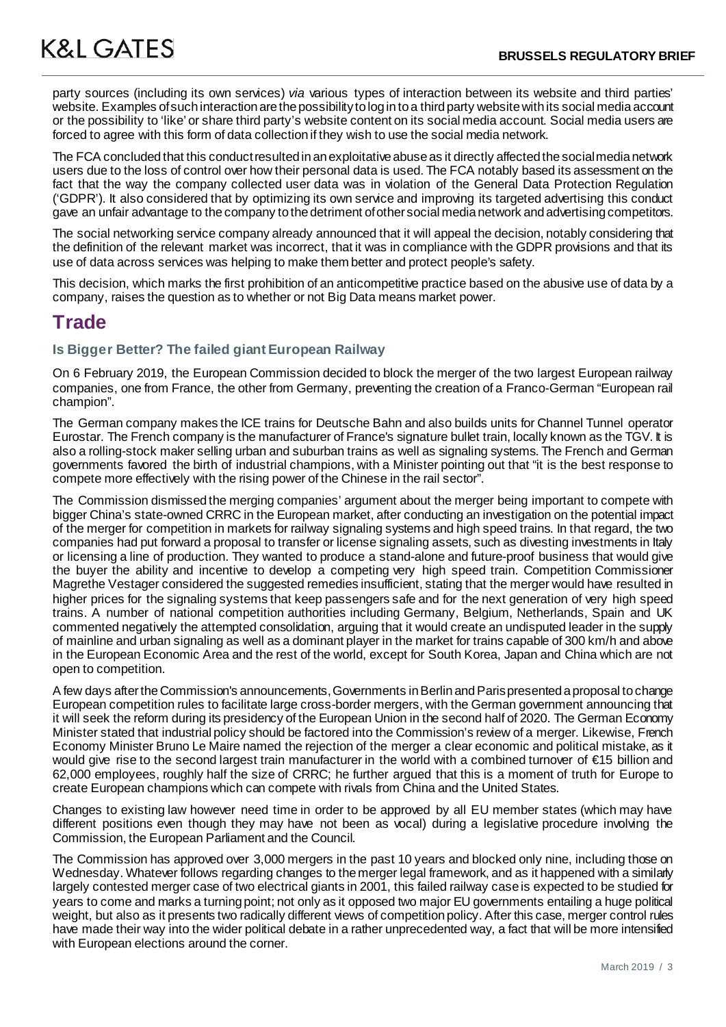party sources (including its own services) *via* various types of interaction between its website and third parties' website. Examples of such interaction are the possibility to log in to a third party website with its social media account or the possibility to 'like' or share third party's website content on its social media account. Social media users are forced to agree with this form of data collection if they wish to use the social media network.

The FCA concluded that this conduct resulted in an exploitative abuse as it directly affected the social media network users due to the loss of control over how their personal data is used. The FCA notably based its assessment on the fact that the way the company collected user data was in violation of the General Data Protection Regulation ('GDPR'). It also considered that by optimizing its own service and improving its targeted advertising this conduct gave an unfair advantage to the company to the detriment of other social media network and advertising competitors.

The social networking service company already announced that it will appeal the decision, notably considering that the definition of the relevant market was incorrect, that it was in compliance with the GDPR provisions and that its use of data across services was helping to make them better and protect people's safety.

This decision, which marks the first prohibition of an anticompetitive practice based on the abusive use of data by a company, raises the question as to whether or not Big Data means market power.

### **Trade**

### **Is Bigger Better? The failed giant European Railway**

On 6 February 2019, the European Commission decided to block the merger of the two largest European railway companies, one from France, the other from Germany, preventing the creation of a Franco-German "European rail champion".

The German company makes the ICE trains for Deutsche Bahn and also builds units for Channel Tunnel operator Eurostar. The French company is the manufacturer of France's signature bullet train, locally known as the TGV. It is also a rolling-stock maker selling urban and suburban trains as well as signaling systems. The French and German governments favored the birth of industrial champions, with a Minister pointing out that "it is the best response to compete more effectively with the rising power of the Chinese in the rail sector".

The Commission dismissed the merging companies' argument about the merger being important to compete with bigger China's state-owned CRRC in the European market, after conducting an investigation on the potential impact of the merger for competition in markets for railway signaling systems and high speed trains. In that regard, the two companies had put forward a proposal to transfer or license signaling assets, such as divesting investments in Italy or licensing a line of production. They wanted to produce a stand-alone and future-proof business that would give the buyer the ability and incentive to develop a competing very high speed train. Competition Commissioner Magrethe Vestager considered the suggested remedies insufficient, stating that the merger would have resulted in higher prices for the signaling systems that keep passengers safe and for the next generation of very high speed trains. A number of national competition authorities including Germany, Belgium, Netherlands, Spain and UK commented negatively the attempted consolidation, arguing that it would create an undisputed leader in the supply of mainline and urban signaling as well as a dominant player in the market for trains capable of 300 km/h and above in the European Economic Area and the rest of the world, except for South Korea, Japan and China which are not open to competition.

A few days after the Commission's announcements, Governments in Berlin and Paris presented a proposal to change European competition rules to facilitate large cross-border mergers, with the German government announcing that it will seek the reform during its presidency of the European Union in the second half of 2020. The German Economy Minister stated that industrial policy should be factored into the Commission's review of a merger. Likewise, French Economy Minister Bruno Le Maire named the rejection of the merger a clear economic and political mistake, as it would give rise to the second largest train manufacturer in the world with a combined turnover of €15 billion and 62,000 employees, roughly half the size of CRRC; he further argued that this is a moment of truth for Europe to create European champions which can compete with rivals from China and the United States.

Changes to existing law however need time in order to be approved by all EU member states (which may have different positions even though they may have not been as vocal) during a legislative procedure involving the Commission, the European Parliament and the Council.

The Commission has approved over 3,000 mergers in the past 10 years and blocked only nine, including those on Wednesday. Whatever follows regarding changes to the merger legal framework, and as it happened with a similarly largely contested merger case of two electrical giants in 2001, this failed railway case is expected to be studied for years to come and marks a turning point; not only as it opposed two major EU governments entailing a huge political weight, but also as it presents two radically different views of competition policy. After this case, merger control rules have made their way into the wider political debate in a rather unprecedented way, a fact that will be more intensified with European elections around the corner.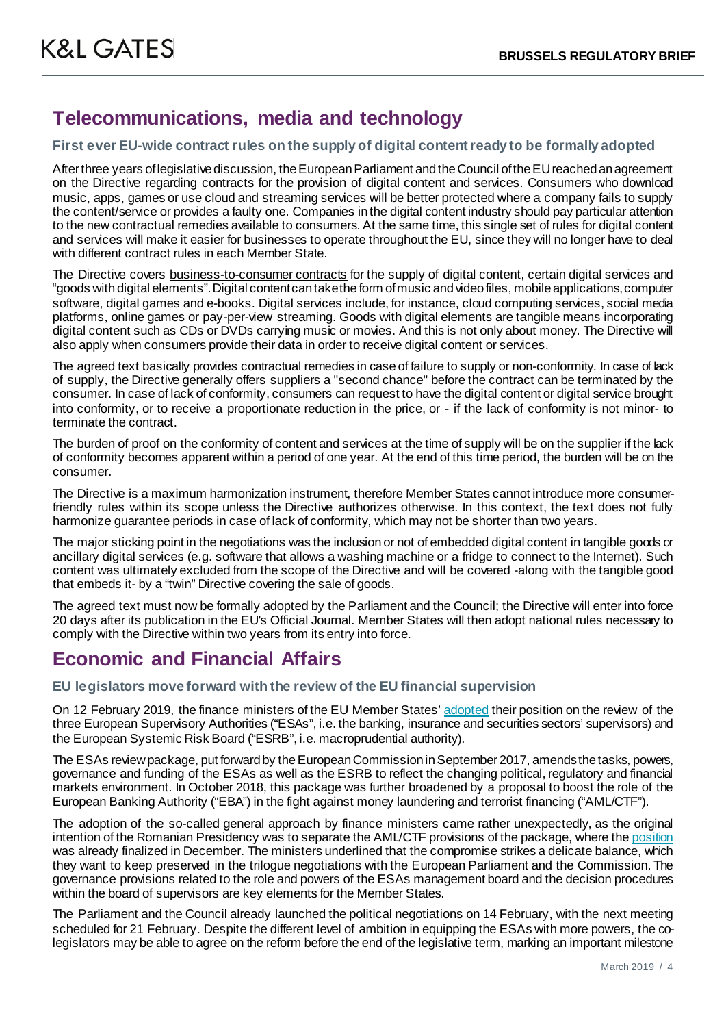### **Telecommunications, media and technology**

### **First ever EU-wide contract rules on the supply of digital content ready to be formally adopted**

After three years of legislative discussion, the European Parliament and the Council of the EU reached an agreement on the Directive regarding contracts for the provision of digital content and services. Consumers who download music, apps, games or use cloud and streaming services will be better protected where a company fails to supply the content/service or provides a faulty one. Companies in the digital content industry should pay particular attention to the new contractual remedies available to consumers. At the same time, this single set of rules for digital content and services will make it easier for businesses to operate throughout the EU, since they will no longer have to deal with different contract rules in each Member State.

The Directive covers business-to-consumer contracts for the supply of digital content, certain digital services and "goods with digital elements". Digital content can take the form of music and video files, mobile applications, computer software, digital games and e-books. Digital services include, for instance, cloud computing services, social media platforms, online games or pay-per-view streaming. Goods with digital elements are tangible means incorporating digital content such as CDs or DVDs carrying music or movies. And this is not only about money. The Directive will also apply when consumers provide their data in order to receive digital content or services.

The agreed text basically provides contractual remedies in case of failure to supply or non-conformity. In case of lack of supply, the Directive generally offers suppliers a "second chance" before the contract can be terminated by the consumer. In case of lack of conformity, consumers can request to have the digital content or digital service brought into conformity, or to receive a proportionate reduction in the price, or - if the lack of conformity is not minor- to terminate the contract.

The burden of proof on the conformity of content and services at the time of supply will be on the supplier if the lack of conformity becomes apparent within a period of one year. At the end of this time period, the burden will be on the consumer.

The Directive is a maximum harmonization instrument, therefore Member States cannot introduce more consumerfriendly rules within its scope unless the Directive authorizes otherwise. In this context, the text does not fully harmonize guarantee periods in case of lack of conformity, which may not be shorter than two years.

The major sticking point in the negotiations was the inclusion or not of embedded digital content in tangible goods or ancillary digital services (e.g. software that allows a washing machine or a fridge to connect to the Internet). Such content was ultimately excluded from the scope of the Directive and will be covered -along with the tangible good that embeds it- by a "twin" Directive covering the sale of goods.

The agreed text must now be formally adopted by the Parliament and the Council; the Directive will enter into force 20 days after its publication in the EU's Official Journal. Member States will then adopt national rules necessary to comply with the Directive within two years from its entry into force.

### **Economic and Financial Affairs**

### **EU legislators move forward with the review of the EU financial supervision**

On 12 February 2019, the finance ministers of the EU Member States[' adopted](https://www.consilium.europa.eu/en/press/press-releases/2019/02/12/financial-supervision-council-confirms-position-ahead-of-negotiations-with-parliament/) their position on the review of the three European Supervisory Authorities ("ESAs", i.e. the banking, insurance and securities sectors' supervisors) and the European Systemic Risk Board ("ESRB", i.e. macroprudential authority).

The ESAs review package, put forward by the European Commission in September 2017, amends the tasks, powers, governance and funding of the ESAs as well as the ESRB to reflect the changing political, regulatory and financial markets environment. In October 2018, this package was further broadened by a proposal to boost the role of the European Banking Authority ("EBA") in the fight against money laundering and terrorist financing ("AML/CTF").

The adoption of the so-called general approach by finance ministers came rather unexpectedly, as the original intention of the Romanian Presidency was to separate the AML/CTF provisions of the package, where th[e position](https://www.consilium.europa.eu/en/press/press-releases/2018/12/19/anti-money-laundering-council-agrees-position-on-reinforced-supervision-for-banks/) was already finalized in December. The ministers underlined that the compromise strikes a delicate balance, which they want to keep preserved in the trilogue negotiations with the European Parliament and the Commission. The governance provisions related to the role and powers of the ESAs management board and the decision procedures within the board of supervisors are key elements for the Member States.

The Parliament and the Council already launched the political negotiations on 14 February, with the next meeting scheduled for 21 February. Despite the different level of ambition in equipping the ESAs with more powers, the colegislators may be able to agree on the reform before the end of the legislative term, marking an important milestone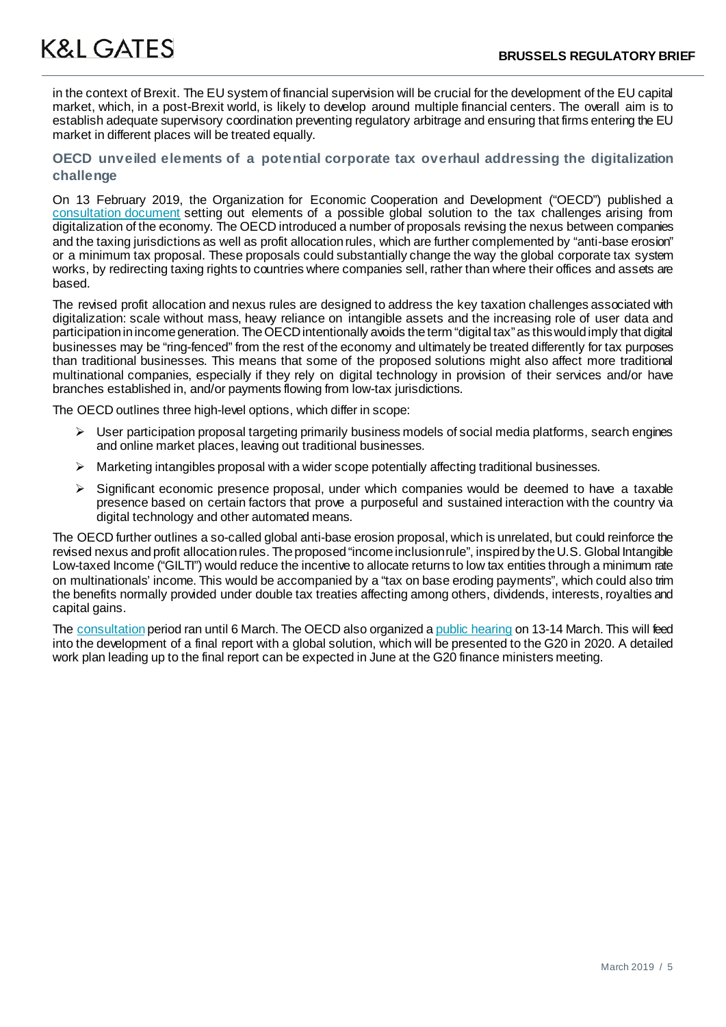in the context of Brexit. The EU system of financial supervision will be crucial for the development of the EU capital market, which, in a post-Brexit world, is likely to develop around multiple financial centers. The overall aim is to establish adequate supervisory coordination preventing regulatory arbitrage and ensuring that firms entering the EU market in different places will be treated equally.

### **OECD unveiled elements of a potential corporate tax overhaul addressing the digitalization challenge**

On 13 February 2019, the Organization for Economic Cooperation and Development ("OECD") published a [consultation document](http://www.oecd.org/tax/beps/public-consultation-document-addressing-the-tax-challenges-of-the-digitalisation-of-the-economy.pdf) setting out elements of a possible global solution to the tax challenges arising from digitalization of the economy. The OECD introduced a number of proposals revising the nexus between companies and the taxing jurisdictions as well as profit allocation rules, which are further complemented by "anti-base erosion" or a minimum tax proposal. These proposals could substantially change the way the global corporate tax system works, by redirecting taxing rights to countries where companies sell, rather than where their offices and assets are based.

The revised profit allocation and nexus rules are designed to address the key taxation challenges associated with digitalization: scale without mass, heavy reliance on intangible assets and the increasing role of user data and participation in income generation. The OECD intentionally avoids the term "digital tax" as this would imply that digital businesses may be "ring-fenced" from the rest of the economy and ultimately be treated differently for tax purposes than traditional businesses. This means that some of the proposed solutions might also affect more traditional multinational companies, especially if they rely on digital technology in provision of their services and/or have branches established in, and/or payments flowing from low-tax jurisdictions.

The OECD outlines three high-level options, which differ in scope:

- $\triangleright$  User participation proposal targeting primarily business models of social media platforms, search engines and online market places, leaving out traditional businesses.
- $\triangleright$  Marketing intangibles proposal with a wider scope potentially affecting traditional businesses.
- $\triangleright$  Significant economic presence proposal, under which companies would be deemed to have a taxable presence based on certain factors that prove a purposeful and sustained interaction with the country via digital technology and other automated means.

The OECD further outlines a so-called global anti-base erosion proposal, which is unrelated, but could reinforce the revised nexus and profit allocation rules. The proposed "income inclusion rule", inspired by the U.S. Global Intangible Low-taxed Income ("GILTI") would reduce the incentive to allocate returns to low tax entities through a minimum rate on multinationals' income. This would be accompanied by a "tax on base eroding payments", which could also trim the benefits normally provided under double tax treaties affecting among others, dividends, interests, royalties and capital gains.

The [consultation](http://www.oecd.org/tax/beps/public-comments-received-on-the-possible-solutions-to-the-tax-challenges-of-digitalisation.htm) period ran until 6 March. The OECD also organized [a public hearing](http://www.oecd.org/tax/beps/public-consultation-tax-challenges-of-digitalisation-13-14-march-2019.htm) on 13-14 March. This will feed into the development of a final report with a global solution, which will be presented to the G20 in 2020. A detailed work plan leading up to the final report can be expected in June at the G20 finance ministers meeting.